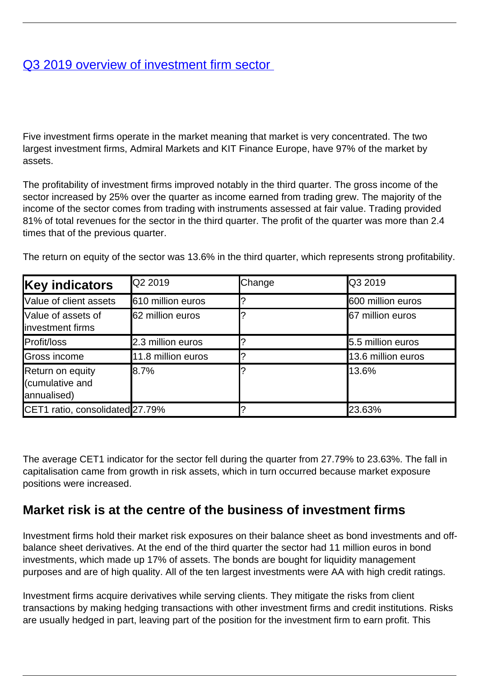## [Q3 2019 overview of investment firm sector](/en/publications/q3-2019-overview-investment-firm-sector)

Five investment firms operate in the market meaning that market is very concentrated. The two largest investment firms, Admiral Markets and KIT Finance Europe, have 97% of the market by assets.

The profitability of investment firms improved notably in the third quarter. The gross income of the sector increased by 25% over the quarter as income earned from trading grew. The majority of the income of the sector comes from trading with instruments assessed at fair value. Trading provided 81% of total revenues for the sector in the third quarter. The profit of the quarter was more than 2.4 times that of the previous quarter.

| The return on equity of the sector was 13.6% in the third quarter, which represents strong profitability. |  |  |  |
|-----------------------------------------------------------------------------------------------------------|--|--|--|
|-----------------------------------------------------------------------------------------------------------|--|--|--|

| <b>Key indicators</b>                              | <b>Q2 2019</b>     | Change | <b>Q3 2019</b>     |
|----------------------------------------------------|--------------------|--------|--------------------|
| Value of client assets                             | 610 million euros  |        | 600 million euros  |
| Value of assets of<br>linvestment firms            | 62 million euros   |        | 67 million euros   |
| Profit/loss                                        | 2.3 million euros  |        | 5.5 million euros  |
| Gross income                                       | 11.8 million euros |        | 13.6 million euros |
| Return on equity<br>(cumulative and<br>annualised) | <b>8.7%</b>        |        | 13.6%              |
| CET1 ratio, consolidated 27.79%                    |                    |        | 23.63%             |

The average CET1 indicator for the sector fell during the quarter from 27.79% to 23.63%. The fall in capitalisation came from growth in risk assets, which in turn occurred because market exposure positions were increased.

## **Market risk is at the centre of the business of investment firms**

Investment firms hold their market risk exposures on their balance sheet as bond investments and offbalance sheet derivatives. At the end of the third quarter the sector had 11 million euros in bond investments, which made up 17% of assets. The bonds are bought for liquidity management purposes and are of high quality. All of the ten largest investments were AA with high credit ratings.

Investment firms acquire derivatives while serving clients. They mitigate the risks from client transactions by making hedging transactions with other investment firms and credit institutions. Risks are usually hedged in part, leaving part of the position for the investment firm to earn profit. This